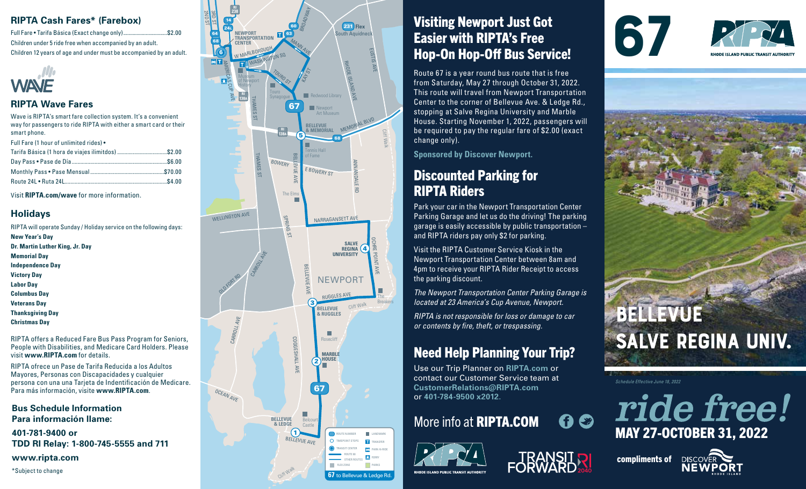### **RIPTA Cash Fares\* (Farebox)**

Full Fare • Tarifa Básica (Exact change only).................................\$2.00 Children under 5 ride free when accompanied by an adult. Children 12 years of age and under must be accompanied by an adult.



#### **RIPTA Wave Fares**

Wave is RIPTA's smart fare collection system. It's a convenient way for passengers to ride RIPTA with either a smart card or their smart phone.

Full Fare (1 hour of unlimited rides) •

| Tarifa Básica (1 hora de viajes ilimitdos) \$2.00 |  |
|---------------------------------------------------|--|
|                                                   |  |
|                                                   |  |
|                                                   |  |

Visit **RIPTA.com/wave** for more information.

#### **Holidays**

RIPTA will operate Sunday / Holiday service on the following days: **New Year's Day Dr. Martin Luther King, Jr. Day Memorial Day Independence Day Victory Day Labor Day Columbus Day Veterans Day Thanksgiving Day Christmas Day** RIPTA offers a Reduced Fare Bus Pass Program for Seniors, People with Disabilities, and Medicare Card Holders. Please visit **www.RIPTA.com** for details. RIPTA ofrece un Pase de Tarifa Reducida a los Adultos

Mayores, Personas con Discapacidades y cualquier persona con una una Tarjeta de Indentificación de Medicare. Para más información, visite **www.RIPTA.com**.

**Bus Schedule Information Para información llame:**

**401-781-9400 or TDD RI Relay: 1-800-745-5555 and 711**

**www.ripta.com**

\*Subject to change

#### **RI** BROADWAY **238 2ND ST** 3RD ST 14 231 **Flex** 60  $241$ South Aquidnec **NEWPORT TRANSPORTATION** 63 64 68 MANN AVE **CENTER** W MARLBOROUGH EUSTIS AVE 6 WASHINGTON SQ **AMERICAS CUP** RHODE ISLAND AVE KAY ST TOURO ST Museum of Newport **History** Touro **138A RI** Synagogue **Redwood Library** THAMES ST 67 **Newport Art Museur** MEMORIAL BLVD **BELLEVUI RI & MEMORIAL** Cliff Walk **138A** 5 68 Tennis Hall THAMES ST BELLEVUE AVE<br>
BELLEVUE AVE<br>
BELLEVUE AVE BONNES DE TRIME TRIME TRIME TRIME OF TRIME<br>
BELLEVUE AVE of Fame BOWERY ANNANDALE RD E BOWERY ST The Elms WELLINGTON AVE SPRING ST NARRAGANSETT AVE OCHRE POINT AVE **SALVE** 4 **REGINA** CARROLL AVE **UNIVERSITY** BELLEVUE AVE OLD FORT RD **NEWPORT** RUGGLES AVE The 3 Breakers Cliff Walk **BELLEVUE & RUGGLES** CARROLL ш COGGESHALL AV COGGESHALL AVE **Roseclif MARBLE HOUSE** 2 67 OCEAN AV **BELLEVUE & LEDGE** Belc Castle BELLEVUE AVE ROUTE NUMBER O TIMEPOINT STOPS T a TRANSIT CENTER PARK-N-RIDE ROUTE 68 **C** FERRY OTHER ROUTES PARKS

Cliff Walk

**67** to Bellevue & Ledge Rd.

## Visiting Newport Just Got Easier with RIPTA's Free Hop-On Hop-Off Bus Service!

Route 67 is a year round bus route that is free from Saturday, May 27 through October 31, 2022. This route will travel from Newport Transportation Center to the corner of Bellevue Ave. & Ledge Rd., stopping at Salve Regina University and Marble House. Starting November 1, 2022, passengers will be required to pay the regular fare of \$2.00 (exact change only).

**Sponsored by Discover Newport.**

## Discounted Parking for RIPTA Riders

Park your car in the Newport Transportation Center Parking Garage and let us do the driving! The parking garage is easily accessible by public transportation – and RIPTA riders pay only \$2 for parking.

Visit the RIPTA Customer Service Kiosk in the Newport Transportation Center between 8am and 4pm to receive your RIPTA Rider Receipt to access the parking discount.

*The Newport Transportation Center Parking Garage is located at 23 America's Cup Avenue, Newport.*

*RIPTA is not responsible for loss or damage to car or contents by fire, theft, or trespassing.* 

## Need Help Planning Your Trip?

Use our Trip Planner on **RIPTA.com** or contact our Customer Service team at **CustomerRelations@RIPTA.com** or **401-784-9500 x2012**.

# More info at RIPTA.COM











*Schedule Effective June 18, 2022*







**RHODE ISLAND PURLIC TRANSIT AUTHORIT**